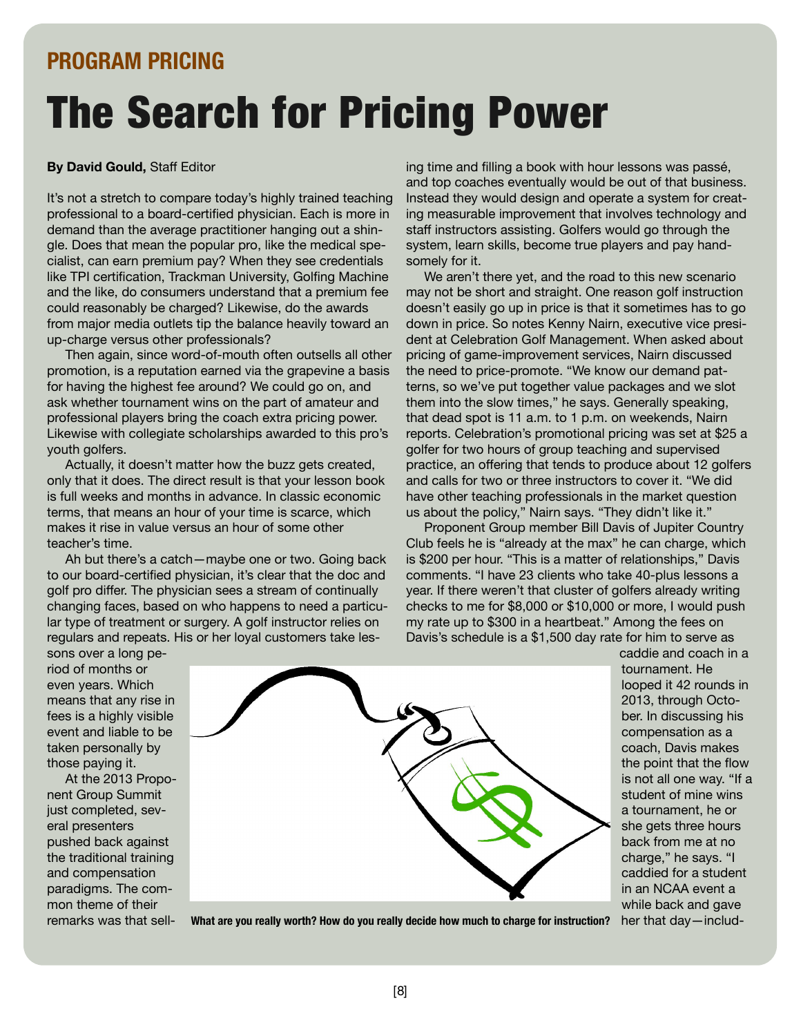## **PROGRAM PRICING**

# The Search for Pricing Power

#### **By David Gould,** Staff Editor

It's not a stretch to compare today's highly trained teaching professional to a board-certified physician. Each is more in demand than the average practitioner hanging out a shingle. Does that mean the popular pro, like the medical specialist, can earn premium pay? When they see credentials like TPI certification, Trackman University, Golfing Machine and the like, do consumers understand that a premium fee could reasonably be charged? Likewise, do the awards from major media outlets tip the balance heavily toward an up-charge versus other professionals?

Then again, since word-of-mouth often outsells all other promotion, is a reputation earned via the grapevine a basis for having the highest fee around? We could go on, and ask whether tournament wins on the part of amateur and professional players bring the coach extra pricing power. Likewise with collegiate scholarships awarded to this pro's youth golfers.

Actually, it doesn't matter how the buzz gets created, only that it does. The direct result is that your lesson book is full weeks and months in advance. In classic economic terms, that means an hour of your time is scarce, which makes it rise in value versus an hour of some other teacher's time.

Ah but there's a catch—maybe one or two. Going back to our board-certified physician, it's clear that the doc and golf pro differ. The physician sees a stream of continually changing faces, based on who happens to need a particular type of treatment or surgery. A golf instructor relies on regulars and repeats. His or her loyal customers take lesing time and filling a book with hour lessons was passé, and top coaches eventually would be out of that business. Instead they would design and operate a system for creating measurable improvement that involves technology and staff instructors assisting. Golfers would go through the system, learn skills, become true players and pay handsomely for it.

We aren't there yet, and the road to this new scenario may not be short and straight. One reason golf instruction doesn't easily go up in price is that it sometimes has to go down in price. So notes Kenny Nairn, executive vice president at Celebration Golf Management. When asked about pricing of game-improvement services, Nairn discussed the need to price-promote. "We know our demand patterns, so we've put together value packages and we slot them into the slow times, " he says. Generally speaking, that dead spot is 11 a.m. to 1 p.m. on weekends, Nairn reports. Celebration's promotional pricing was set at \$25 a golfer for two hours of group teaching and supervised practice, an offering that tends to produce about 12 golfers and calls for two or three instructors to cover it. "We did have other teaching professionals in the market question us about the policy, " Nairn says. "They didn't like it."

Proponent Group member Bill Davis of Jupiter Country Club feels he is "already at the max" he can charge, which is \$200 per hour. "This is a matter of relationships, " Davis comments. "I have 23 clients who take 40-plus lessons a year. If there weren't that cluster of golfers already writing checks to me for \$8,000 or \$10,000 or more, I would push my rate up to \$300 in a heartbeat." Among the fees on Davis's schedule is a \$1,500 day rate for him to serve as

> caddie and coach in a tournament. He looped it 42 rounds in 2013, through October. In discussing his compensation as a coach, Davis makes the point that the flow is not all one way. "If a student of mine wins a tournament, he or she gets three hours back from me at no charge, " he says. "I caddied for a student in an NCAA event a while back and gave her that day—includ-

sons over a long period of months or even years. Which means that any rise in fees is a highly visible event and liable to be taken personally by those paying it.

At the 2013 Proponent Group Summit just completed, several presenters pushed back against the traditional training and compensation paradigms. The common theme of their remarks was that sell-



**What are you really worth? How do you really decide how much to charge for instruction?**